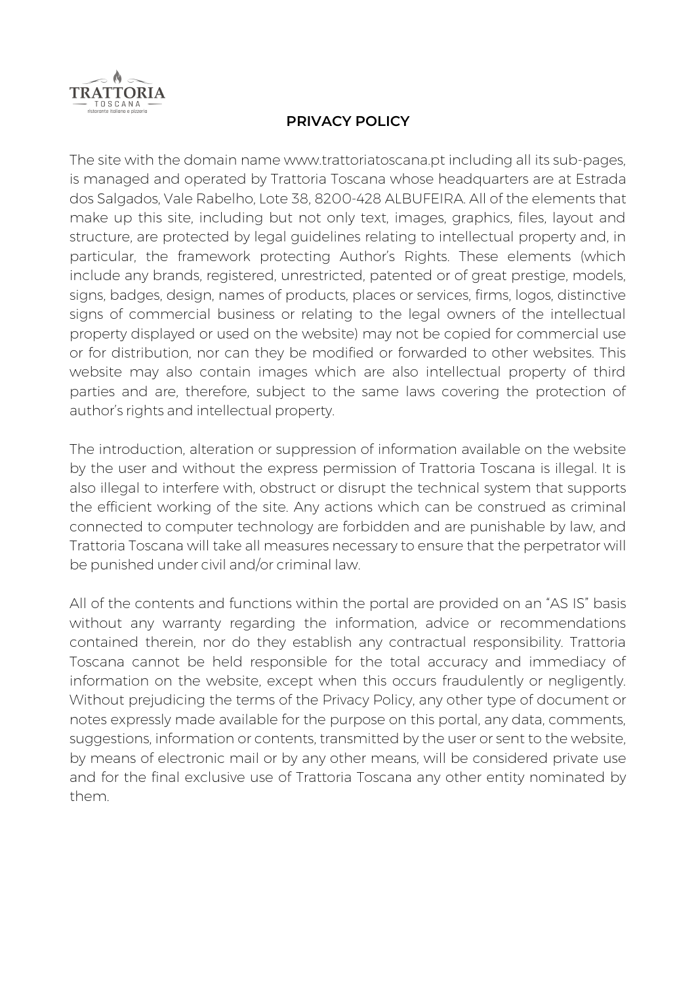

## **PRIVACY POLICY**

The site with the domain name www.trattoriatoscana.pt including all its sub-pages, is managed and operated by Trattoria Toscana whose headquarters are at Estrada dos Salgados, Vale Rabelho, Lote 38, 8200-428 ALBUFEIRA. All of the elements that make up this site, including but not only text, images, graphics, files, layout and structure, are protected by legal guidelines relating to intellectual property and, in particular, the framework protecting Author's Rights. These elements (which include any brands, registered, unrestricted, patented or of great prestige, models, signs, badges, design, names of products, places or services, firms, logos, distinctive signs of commercial business or relating to the legal owners of the intellectual property displayed or used on the website) may not be copied for commercial use or for distribution, nor can they be modified or forwarded to other websites. This website may also contain images which are also intellectual property of third parties and are, therefore, subject to the same laws covering the protection of author's rights and intellectual property.

The introduction, alteration or suppression of information available on the website by the user and without the express permission of Trattoria Toscana is illegal. It is also illegal to interfere with, obstruct or disrupt the technical system that supports the efficient working of the site. Any actions which can be construed as criminal connected to computer technology are forbidden and are punishable by law, and Trattoria Toscana will take all measures necessary to ensure that the perpetrator will be punished under civil and/or criminal law.

All of the contents and functions within the portal are provided on an "AS IS" basis without any warranty regarding the information, advice or recommendations contained therein, nor do they establish any contractual responsibility. Trattoria Toscana cannot be held responsible for the total accuracy and immediacy of information on the website, except when this occurs fraudulently or negligently. Without prejudicing the terms of the Privacy Policy, any other type of document or notes expressly made available for the purpose on this portal, any data, comments, suggestions, information or contents, transmitted by the user or sent to the website, by means of electronic mail or by any other means, will be considered private use and for the final exclusive use of Trattoria Toscana any other entity nominated by them.